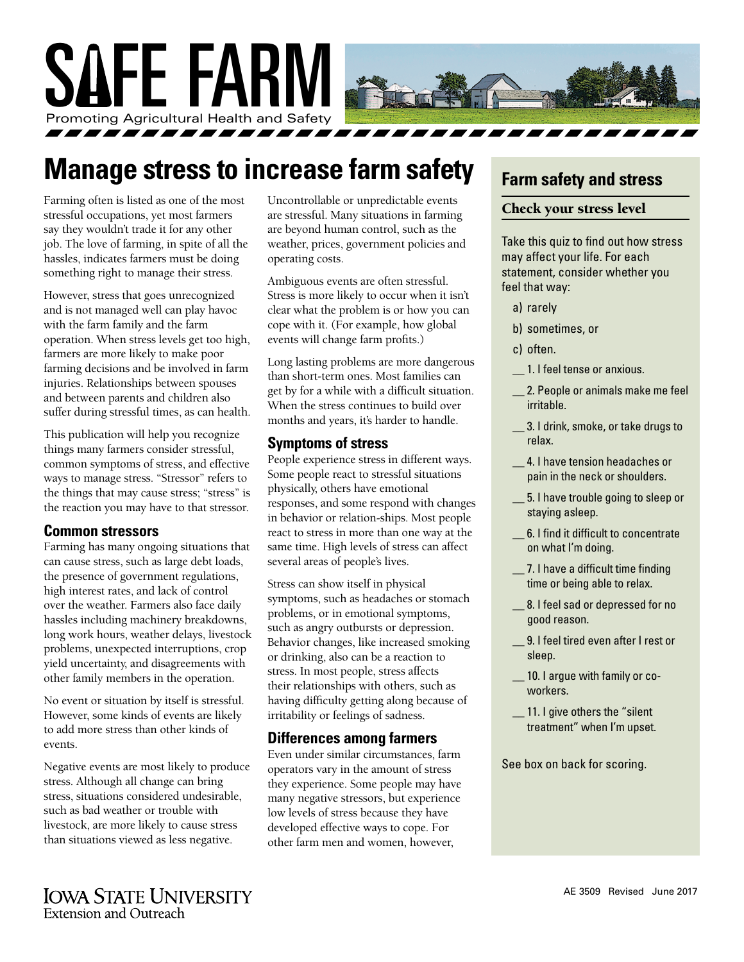

## **Manage stress to increase farm safety**

Farming often is listed as one of the most stressful occupations, yet most farmers say they wouldn't trade it for any other job. The love of farming, in spite of all the hassles, indicates farmers must be doing something right to manage their stress.

However, stress that goes unrecognized and is not managed well can play havoc with the farm family and the farm operation. When stress levels get too high, farmers are more likely to make poor farming decisions and be involved in farm injuries. Relationships between spouses and between parents and children also suffer during stressful times, as can health.

This publication will help you recognize things many farmers consider stressful, common symptoms of stress, and effective ways to manage stress. "Stressor" refers to the things that may cause stress; "stress" is the reaction you may have to that stressor.

#### **Common stressors**

Farming has many ongoing situations that can cause stress, such as large debt loads, the presence of government regulations, high interest rates, and lack of control over the weather. Farmers also face daily hassles including machinery breakdowns, long work hours, weather delays, livestock problems, unexpected interruptions, crop yield uncertainty, and disagreements with other family members in the operation.

No event or situation by itself is stressful. However, some kinds of events are likely to add more stress than other kinds of events.

Negative events are most likely to produce stress. Although all change can bring stress, situations considered undesirable, such as bad weather or trouble with livestock, are more likely to cause stress than situations viewed as less negative.

Uncontrollable or unpredictable events are stressful. Many situations in farming are beyond human control, such as the weather, prices, government policies and operating costs.

Ambiguous events are often stressful. Stress is more likely to occur when it isn't clear what the problem is or how you can cope with it. (For example, how global events will change farm profits.)

Long lasting problems are more dangerous than short-term ones. Most families can get by for a while with a difficult situation. When the stress continues to build over months and years, it's harder to handle.

#### **Symptoms of stress**

People experience stress in different ways. Some people react to stressful situations physically, others have emotional responses, and some respond with changes in behavior or relation-ships. Most people react to stress in more than one way at the same time. High levels of stress can affect several areas of people's lives.

Stress can show itself in physical symptoms, such as headaches or stomach problems, or in emotional symptoms, such as angry outbursts or depression. Behavior changes, like increased smoking or drinking, also can be a reaction to stress. In most people, stress affects their relationships with others, such as having difficulty getting along because of irritability or feelings of sadness.

#### **Differences among farmers**

Even under similar circumstances, farm operators vary in the amount of stress they experience. Some people may have many negative stressors, but experience low levels of stress because they have developed effective ways to cope. For other farm men and women, however,

## **Farm safety and stress**

#### Check your stress level

Take this quiz to find out how stress may affect your life. For each statement, consider whether you feel that way:

- a) rarely
- b) sometimes, or
- c) often.
- \_\_ 1. I feel tense or anxious.
- \_\_ 2. People or animals make me feel irritable.
- \_\_ 3. I drink, smoke, or take drugs to relax.
- \_\_ 4. I have tension headaches or pain in the neck or shoulders.
- \_\_ 5. I have trouble going to sleep or staying asleep.
- \_\_ 6. I find it difficult to concentrate on what I'm doing.
- 7. I have a difficult time finding time or being able to relax.
- \_\_ 8. I feel sad or depressed for no good reason.
- \_\_ 9. I feel tired even after I rest or sleep.
- 10. I argue with family or coworkers.
- \_\_ 11. I give others the "silent treatment" when I'm upset.

See box on back for scoring.